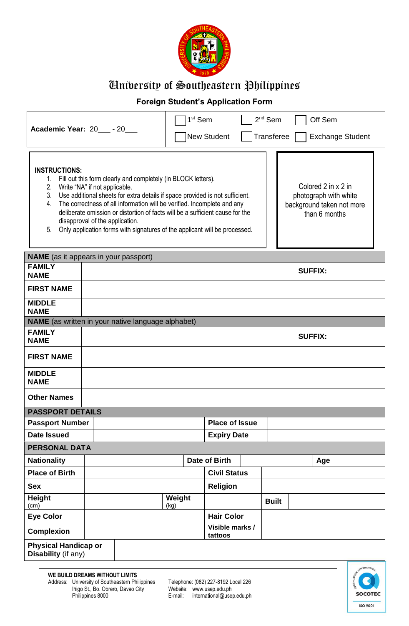

# University of Southeastern Philippines

### **Foreign Student's Application Form**

|                                                                                                                                                                                                                                                                                                                                                                                                                                                                                                                                                                                                     |                                                           | 1 <sup>st</sup> Sem<br>$2nd$ Sem<br>Off Sem |                       |  |                   |                |                         |
|-----------------------------------------------------------------------------------------------------------------------------------------------------------------------------------------------------------------------------------------------------------------------------------------------------------------------------------------------------------------------------------------------------------------------------------------------------------------------------------------------------------------------------------------------------------------------------------------------------|-----------------------------------------------------------|---------------------------------------------|-----------------------|--|-------------------|----------------|-------------------------|
|                                                                                                                                                                                                                                                                                                                                                                                                                                                                                                                                                                                                     | Academic Year: 20 - 20                                    |                                             | <b>New Student</b>    |  | <b>Transferee</b> |                | <b>Exchange Student</b> |
| <b>INSTRUCTIONS:</b><br>1. Fill out this form clearly and completely (in BLOCK letters).<br>Colored 2 in x 2 in<br>2. Write "NA" if not applicable.<br>3. Use additional sheets for extra details if space provided is not sufficient.<br>photograph with white<br>4. The correctness of all information will be verified. Incomplete and any<br>background taken not more<br>deliberate omission or distortion of facts will be a sufficient cause for the<br>than 6 months<br>disapproval of the application.<br>Only application forms with signatures of the applicant will be processed.<br>5. |                                                           |                                             |                       |  |                   |                |                         |
| <b>FAMILY</b>                                                                                                                                                                                                                                                                                                                                                                                                                                                                                                                                                                                       | <b>NAME</b> (as it appears in your passport)              |                                             |                       |  |                   |                |                         |
| <b>NAME</b>                                                                                                                                                                                                                                                                                                                                                                                                                                                                                                                                                                                         |                                                           |                                             |                       |  |                   | <b>SUFFIX:</b> |                         |
| <b>FIRST NAME</b>                                                                                                                                                                                                                                                                                                                                                                                                                                                                                                                                                                                   |                                                           |                                             |                       |  |                   |                |                         |
| <b>MIDDLE</b><br><b>NAME</b>                                                                                                                                                                                                                                                                                                                                                                                                                                                                                                                                                                        |                                                           |                                             |                       |  |                   |                |                         |
|                                                                                                                                                                                                                                                                                                                                                                                                                                                                                                                                                                                                     | <b>NAME</b> (as written in your native language alphabet) |                                             |                       |  |                   |                |                         |
| <b>FAMILY</b><br><b>NAME</b>                                                                                                                                                                                                                                                                                                                                                                                                                                                                                                                                                                        | <b>SUFFIX:</b>                                            |                                             |                       |  |                   |                |                         |
| <b>FIRST NAME</b>                                                                                                                                                                                                                                                                                                                                                                                                                                                                                                                                                                                   |                                                           |                                             |                       |  |                   |                |                         |
| <b>MIDDLE</b><br><b>NAME</b>                                                                                                                                                                                                                                                                                                                                                                                                                                                                                                                                                                        |                                                           |                                             |                       |  |                   |                |                         |
| <b>Other Names</b>                                                                                                                                                                                                                                                                                                                                                                                                                                                                                                                                                                                  |                                                           |                                             |                       |  |                   |                |                         |
| <b>PASSPORT DETAILS</b>                                                                                                                                                                                                                                                                                                                                                                                                                                                                                                                                                                             |                                                           |                                             |                       |  |                   |                |                         |
| <b>Passport Number</b>                                                                                                                                                                                                                                                                                                                                                                                                                                                                                                                                                                              |                                                           |                                             | <b>Place of Issue</b> |  |                   |                |                         |
| <b>Date Issued</b>                                                                                                                                                                                                                                                                                                                                                                                                                                                                                                                                                                                  |                                                           |                                             | <b>Expiry Date</b>    |  |                   |                |                         |
| <b>PERSONAL DATA</b>                                                                                                                                                                                                                                                                                                                                                                                                                                                                                                                                                                                |                                                           |                                             |                       |  |                   |                |                         |
| <b>Nationality</b>                                                                                                                                                                                                                                                                                                                                                                                                                                                                                                                                                                                  |                                                           |                                             | Date of Birth         |  |                   | Age            |                         |
| <b>Place of Birth</b>                                                                                                                                                                                                                                                                                                                                                                                                                                                                                                                                                                               |                                                           |                                             | <b>Civil Status</b>   |  |                   |                |                         |
| <b>Sex</b>                                                                                                                                                                                                                                                                                                                                                                                                                                                                                                                                                                                          |                                                           |                                             | <b>Religion</b>       |  |                   |                |                         |
| Height<br>(cm)                                                                                                                                                                                                                                                                                                                                                                                                                                                                                                                                                                                      |                                                           | Weight<br>(kg)                              |                       |  | <b>Built</b>      |                |                         |
| <b>Eye Color</b>                                                                                                                                                                                                                                                                                                                                                                                                                                                                                                                                                                                    | <b>Hair Color</b>                                         |                                             |                       |  |                   |                |                         |
| <b>Complexion</b>                                                                                                                                                                                                                                                                                                                                                                                                                                                                                                                                                                                   | Visible marks /<br>tattoos                                |                                             |                       |  |                   |                |                         |
| <b>Physical Handicap or</b><br>Disability (if any)                                                                                                                                                                                                                                                                                                                                                                                                                                                                                                                                                  |                                                           |                                             |                       |  |                   |                |                         |
|                                                                                                                                                                                                                                                                                                                                                                                                                                                                                                                                                                                                     |                                                           |                                             |                       |  |                   |                | <b>ITERNATIONAL</b>     |

Philippines 8000 E-mail:<br>
Website: www.usep.edu.ph<br>
E-mail: international@usep.edu.ph

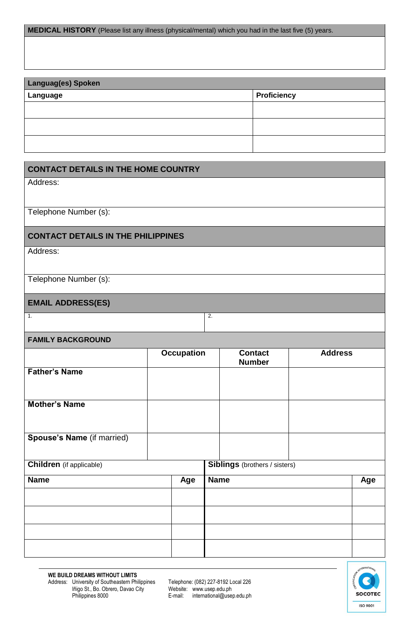**MEDICAL HISTORY** (Please list any illness (physical/mental) which you had in the last five (5) years.

| <b>Languag(es) Spoken</b> |                    |  |  |  |
|---------------------------|--------------------|--|--|--|
| Language                  | <b>Proficiency</b> |  |  |  |
|                           |                    |  |  |  |
|                           |                    |  |  |  |
|                           |                    |  |  |  |

|                                                                         | <b>CONTACT DETAILS IN THE HOME COUNTRY</b> |                   |             |                                 |                |     |
|-------------------------------------------------------------------------|--------------------------------------------|-------------------|-------------|---------------------------------|----------------|-----|
| Address:                                                                |                                            |                   |             |                                 |                |     |
| Telephone Number (s):                                                   |                                            |                   |             |                                 |                |     |
| <b>CONTACT DETAILS IN THE PHILIPPINES</b>                               |                                            |                   |             |                                 |                |     |
| Address:                                                                |                                            |                   |             |                                 |                |     |
| Telephone Number (s):                                                   |                                            |                   |             |                                 |                |     |
| <b>EMAIL ADDRESS(ES)</b>                                                |                                            |                   |             |                                 |                |     |
| 1.                                                                      |                                            |                   | 2.          |                                 |                |     |
| <b>FAMILY BACKGROUND</b>                                                |                                            |                   |             |                                 |                |     |
|                                                                         |                                            | <b>Occupation</b> |             | <b>Contact</b><br><b>Number</b> | <b>Address</b> |     |
| <b>Father's Name</b>                                                    |                                            |                   |             |                                 |                |     |
| <b>Mother's Name</b>                                                    |                                            |                   |             |                                 |                |     |
| Spouse's Name (if married)                                              |                                            |                   |             |                                 |                |     |
| <b>Children</b> (if applicable)<br><b>Siblings</b> (brothers / sisters) |                                            |                   |             |                                 |                |     |
| <b>Name</b>                                                             |                                            | Age               | <b>Name</b> |                                 |                | Age |
|                                                                         |                                            |                   |             |                                 |                |     |
|                                                                         |                                            |                   |             |                                 |                |     |
|                                                                         |                                            |                   |             |                                 |                |     |
|                                                                         |                                            |                   |             |                                 |                |     |

Philippines 8000 E-mail: international@usep.edu.ph

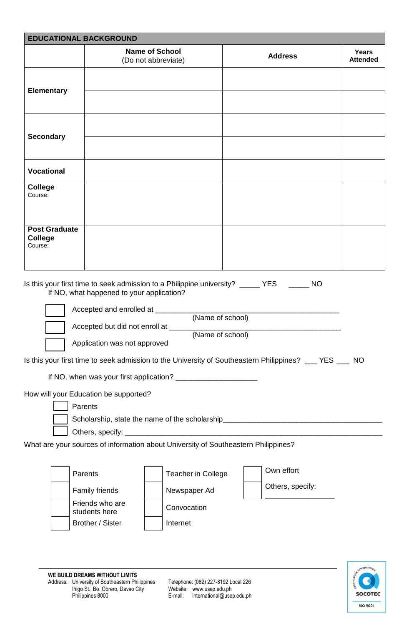| <b>EDUCATIONAL BACKGROUND</b>                                                                                                                                                                                              |                                                                                                                                            |                                                                                                                                     |  |                                |                                 |
|----------------------------------------------------------------------------------------------------------------------------------------------------------------------------------------------------------------------------|--------------------------------------------------------------------------------------------------------------------------------------------|-------------------------------------------------------------------------------------------------------------------------------------|--|--------------------------------|---------------------------------|
|                                                                                                                                                                                                                            |                                                                                                                                            | <b>Name of School</b><br>(Do not abbreviate)                                                                                        |  | <b>Address</b>                 | <b>Years</b><br><b>Attended</b> |
| <b>Elementary</b>                                                                                                                                                                                                          |                                                                                                                                            |                                                                                                                                     |  |                                |                                 |
| <b>Secondary</b>                                                                                                                                                                                                           |                                                                                                                                            |                                                                                                                                     |  |                                |                                 |
| <b>Vocational</b>                                                                                                                                                                                                          |                                                                                                                                            |                                                                                                                                     |  |                                |                                 |
| <b>College</b><br>Course:                                                                                                                                                                                                  |                                                                                                                                            |                                                                                                                                     |  |                                |                                 |
| <b>Post Graduate</b><br><b>College</b><br>Course:                                                                                                                                                                          |                                                                                                                                            |                                                                                                                                     |  |                                |                                 |
|                                                                                                                                                                                                                            | If NO, what happened to your application?<br>Accepted and enrolled at __<br>Accepted but did not enroll at<br>Application was not approved | Is this your first time to seek admission to a Philippine university? ______ YES _______ NO<br>(Name of school)<br>(Name of school) |  |                                |                                 |
| Is this your first time to seek admission to the University of Southeastern Philippines? ___ YES ___ NO                                                                                                                    |                                                                                                                                            |                                                                                                                                     |  |                                |                                 |
| How will your Education be supported?<br>Parents<br>Scholarship, state the name of the scholarship__________________________________<br>What are your sources of information about University of Southeastern Philippines? |                                                                                                                                            |                                                                                                                                     |  |                                |                                 |
|                                                                                                                                                                                                                            | Parents<br>Family friends<br>Friends who are<br>students here<br>Brother / Sister                                                          | Teacher in College<br>Newspaper Ad<br>Convocation<br>Internet                                                                       |  | Own effort<br>Others, specify: |                                 |

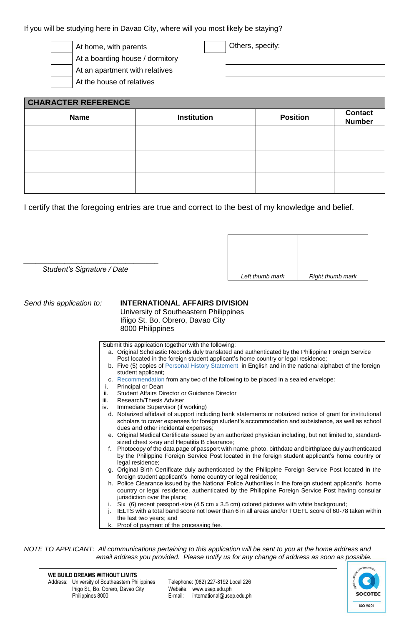If you will be studying here in Davao City, where will you most likely be staying?

At home, with parents and all particles of  $\vert$  Others, specify:

At a boarding house / dormitory At an apartment with relatives

At the house of relatives

| <b>CHARACTER REFERENCE</b> |                    |                 |                                 |  |  |
|----------------------------|--------------------|-----------------|---------------------------------|--|--|
| <b>Name</b>                | <b>Institution</b> | <b>Position</b> | <b>Contact</b><br><b>Number</b> |  |  |
|                            |                    |                 |                                 |  |  |
|                            |                    |                 |                                 |  |  |
|                            |                    |                 |                                 |  |  |
|                            |                    |                 |                                 |  |  |

I certify that the foregoing entries are true and correct to the best of my knowledge and belief.

 *Student's Signature / Date*

*\_\_\_\_\_\_\_\_\_\_\_\_\_\_\_\_\_\_\_\_\_\_\_\_\_\_\_\_\_\_\_\_\_*

| Left thumb mark | Right thumb mark |
|-----------------|------------------|

#### *Send this application to:* **INTERNATIONAL AFFAIRS DIVISION**

University of Southeastern Philippines Iñigo St. Bo. Obrero, Davao City 8000 Philippines

Submit this application together with the following:

- a. Original Scholastic Records duly translated and authenticated by the Philippine Foreign Service Post located in the foreign student applicant's home country or legal residence;
- b. Five (5) copies of Personal History Statement in English and in the national alphabet of the foreign student applicant;
- c. Recommendation from any two of the following to be placed in a sealed envelope:<br>i. Principal or Dean
- Principal or Dean
- ii. Student Affairs Director or Guidance Director
- iii. Research/Thesis Adviser
- iv. Immediate Supervisor (if working)
- d. Notarized affidavit of support including bank statements or notarized notice of grant for institutional scholars to cover expenses for foreign student's accommodation and subsistence, as well as school dues and other incidental expenses;
- e. Original Medical Certificate issued by an authorized physician including, but not limited to, standardsized chest x-ray and Hepatitis B clearance;
- f. Photocopy of the data page of passport with name, photo, birthdate and birthplace duly authenticated by the Philippine Foreign Service Post located in the foreign student applicant's home country or legal residence;
- g. Original Birth Certificate duly authenticated by the Philippine Foreign Service Post located in the foreign student applicant's home country or legal residence;
- h. Police Clearance issued by the National Police Authorities in the foreign student applicant's home country or legal residence, authenticated by the Philippine Foreign Service Post having consular jurisdiction over the place;
- Six (6) recent passport-size (4.5 cm x 3.5 cm) colored pictures with white background;
- j. IELTS with a total band score not lower than 6 in all areas and/or TOEFL score of 60-78 taken within the last two years; and
- Proof of payment of the processing fee.

*NOTE TO APPLICANT: All communications pertaining to this application will be sent to you at the home address and email address you provided. Please notify us for any change of address as soon as possible.*